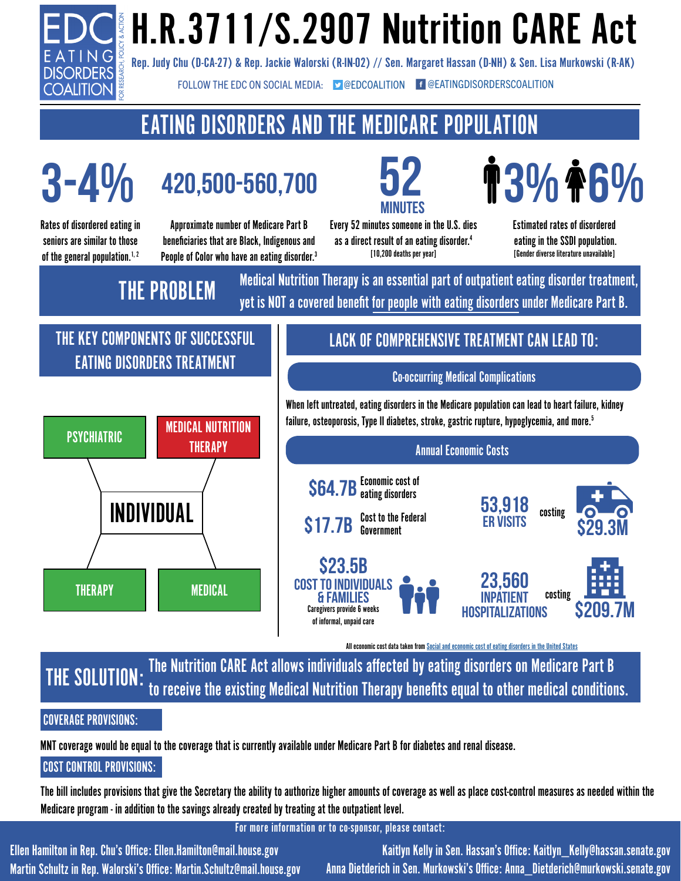

# H.R.3711/S.2907 Nutrition CARE Act

Rep. Judy Chu (D-CA-27) & Rep. Jackie Walorski (R-IN-02) // Sen. Margaret Hassan (D-NH) & Sen. Lisa Murkowski (R-AK)

FOLLOW THE EDC ON SOCIAL MEDIA:  $\bullet$  [@EDCOALITION](https://twitter.com/edcoalition) **f** [@EATINGDISORDERSCOALITION](https://www.facebook.com/EatingDisordersCoalition/)

# EATING DISORDERS AND THE MEDICARE POPULATION

Rates of disordered eating in seniors are similar to those **3-4%**

of the general population. $1, 2$ 

**420,500-560,700**

Approximate number of Medicare Part B beneficiaries that are Black, Indigenous and People of Color who have an eating disorder.<sup>3</sup> **52 MINUTES**

Every 52 minutes someone in the U.S. dies as a direct result of an eating disorder.<sup>4</sup> [10,200 deaths per year]

**3% 6%**

Estimated rates of disordered eating in the SSDI population. [Gender diverse literature unavailable]

**THE PROBLEM** Medical Nutrition Therapy is an essential part of outpatient eating disorder treatment, yet is NOT a covered benefit for people with eating disorders under Medicare Part B.

# THE KEY COMPONENTS OF SUCCESSFUL EATING DISORDERS TREATMENT



# LACK OF COMPREHENSIVE TREATMENT CAN LEAD TO:

### Co-occurring Medical Complications

When left untreated, eating disorders in the Medicare population can lead to heart failure, kidney failure, osteoporosis, Type II diabetes, stroke, gastric rupture, hypoglycemia, and more.5

Annual Economic Costs **\$64.7B** Economic cost of \$17.7B Cost to the Federal **\$23.5B** costing **53,918 ER visits 23,560 \$29.3M**

> **inpatient hospitalizations**



All economic cost data taken from [Social and economic cost of eating disorders in the United States](https://www.hsph.harvard.edu/striped/report-economic-costs-of-eating-disorders/)

THE SOLUTION: The Nutrition CARE Act allows individuals affected by eating disorders on Medicare Part B to receive the existing Medical Nutrition Therapy benefits equal to other medical conditions.

**Cost to Individuals & Families**

Caregivers provide 6 weeks of informal, unpaid care

### COVERAGE PROVISIONS:

MNT coverage would be equal to the coverage that is currently available under Medicare Part B for diabetes and renal disease.

## COST CONTROL PROVISIONS:

The bill includes provisions that give the Secretary the ability to authorize higher amounts of coverage as well as place cost-control measures as needed within the Medicare program - in addition to the savings already created by treating at the outpatient level.

For more information or to co-sponsor, please contact:

Ellen Hamilton in Rep. Chu's Office: Ellen.Hamilton@mail.house.gov Martin Schultz in Rep. Walorski's Office: Martin.Schultz@mail.house.gov

Kaitlyn Kelly in Sen. Hassan's Office: Kaitlyn\_Kelly@hassan.senate.gov Anna Dietderich in Sen. Murkowski's Office: Anna\_Dietderich@murkowski.senate.gov